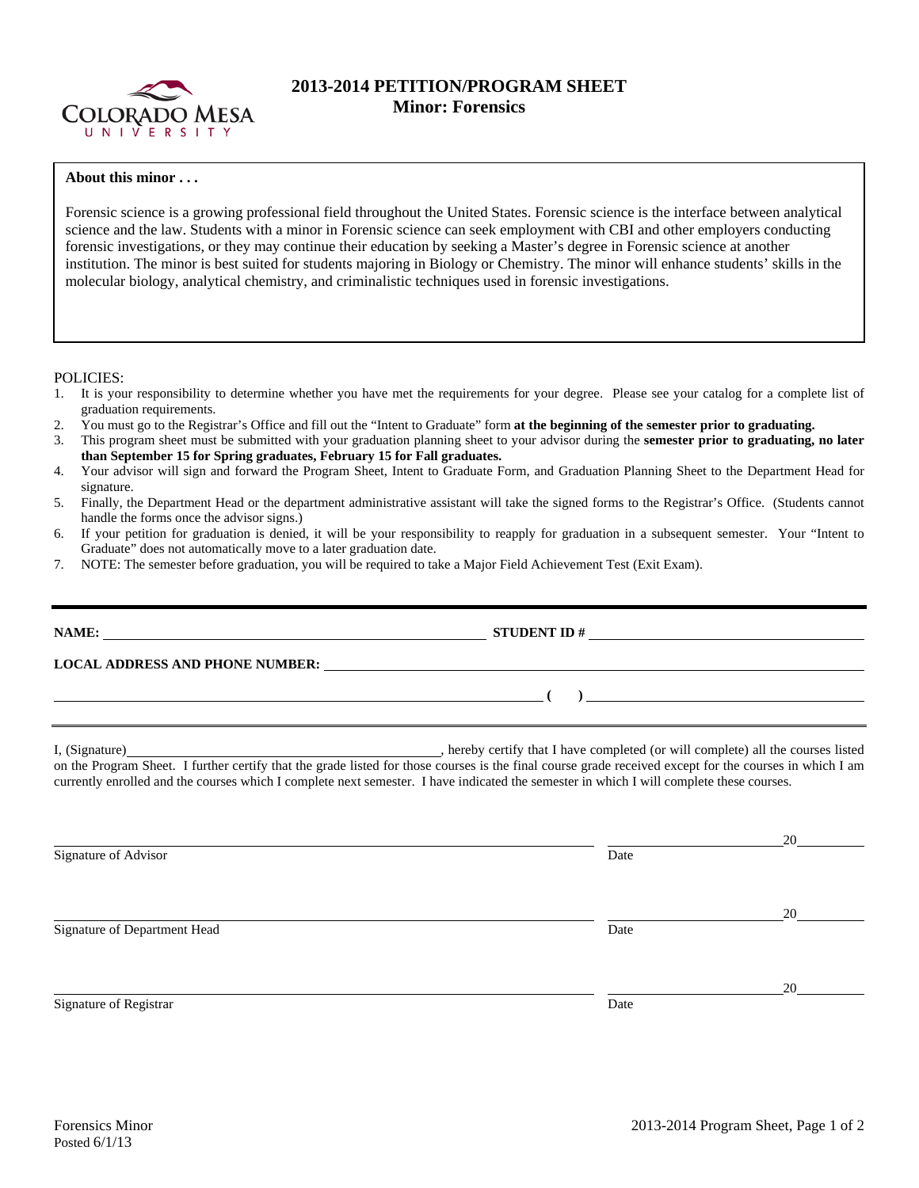

## **2013-2014 PETITION/PROGRAM SHEET Minor: Forensics**

## **About this minor . . .**

Forensic science is a growing professional field throughout the United States. Forensic science is the interface between analytical science and the law. Students with a minor in Forensic science can seek employment with CBI and other employers conducting forensic investigations, or they may continue their education by seeking a Master's degree in Forensic science at another institution. The minor is best suited for students majoring in Biology or Chemistry. The minor will enhance students' skills in the molecular biology, analytical chemistry, and criminalistic techniques used in forensic investigations.

POLICIES:

- 1. It is your responsibility to determine whether you have met the requirements for your degree. Please see your catalog for a complete list of graduation requirements.
- 2. You must go to the Registrar's Office and fill out the "Intent to Graduate" form **at the beginning of the semester prior to graduating.**
- 3. This program sheet must be submitted with your graduation planning sheet to your advisor during the **semester prior to graduating, no later than September 15 for Spring graduates, February 15 for Fall graduates.**
- 4. Your advisor will sign and forward the Program Sheet, Intent to Graduate Form, and Graduation Planning Sheet to the Department Head for signature.
- 5. Finally, the Department Head or the department administrative assistant will take the signed forms to the Registrar's Office. (Students cannot handle the forms once the advisor signs.)
- 6. If your petition for graduation is denied, it will be your responsibility to reapply for graduation in a subsequent semester. Your "Intent to Graduate" does not automatically move to a later graduation date.
- 7. NOTE: The semester before graduation, you will be required to take a Major Field Achievement Test (Exit Exam).

| NAME: | STUDENT ID $\#$                                                                                                                                                                                                                                                                                                                                                                                      |
|-------|------------------------------------------------------------------------------------------------------------------------------------------------------------------------------------------------------------------------------------------------------------------------------------------------------------------------------------------------------------------------------------------------------|
|       |                                                                                                                                                                                                                                                                                                                                                                                                      |
|       | $\frac{1}{\sqrt{1-\frac{1}{2}}\left(\frac{1}{2}-\frac{1}{2}\right)}$                                                                                                                                                                                                                                                                                                                                 |
|       | I, (Signature) hereby certify that I have completed (or will complete) all the courses listed<br>on the Program Sheet. I further certify that the grade listed for those courses is the final course grade received except for the courses in which I am<br>currently enrolled and the courses which I complete next semester. I have indicated the semester in which I will complete these courses. |

|                              |      | 20 |
|------------------------------|------|----|
| Signature of Advisor         | Date |    |
|                              |      | 20 |
| Signature of Department Head | Date |    |
|                              |      | 20 |
| Signature of Registrar       | Date |    |